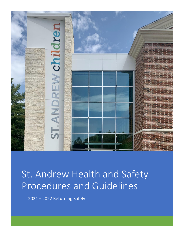

# St. Andrew Health and Safety Procedures and Guidelines

2021 – 2022 Returning Safely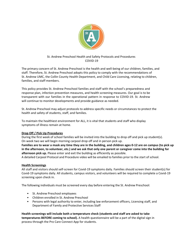

## St. Andrew Preschool Health and Safety Protocols and Procedures COVID-19

The primary concern of St. Andrew Preschool is the health and well-being of our children, families, and staff. Therefore, St. Andrew Preschool adopts this policy to comply with the recommendations of St. Andrew UMC, the Collin County Health Department, and Child Care Licensing, relating to children, families, and staff members.

This policy provides St. Andrew Preschool families and staff with the school's preparedness and response plan, infection prevention measures, and health screening measures. Our goal is to be transparent with our families in the operational pattern in response to COVID-19. St. Andrew will continue to monitor developments and provide guidance as needed.

St. Andrew Preschool may adjust protocols to address specific needs or circumstances to protect the health and safety of students, staff, and families.

To maintain the healthiest environment for ALL, it is vital that students and staff who display symptoms of illness remain at home.

## **Drop Off / Pick Up Procedures**

During the first week of school families will be invited into the building to drop off and pick up student(s). On week two we will begin morning carpool drop off and in person pick up.

**Families are to wear a mask any time they are in the building, and children ages 0-12 are on campus (to pick up in the afternoon, to volunteer, etc.) and we ask that only one parent or caregiver come into the building for afternoon pick up.** Please enter and exit the building as efficiently as possible.

A detailed Carpool Protocol and Procedure video will be emailed to families prior to the start of school.

## **Health Screenings**

All staff and visitors should self-screen for Covid-19 symptoms daily. Families should screen their student(s) for Covid-19 symptoms daily. All students, campus visitors, and volunteers will be required to complete a Covid-19 screening upon check in.

The following individuals must be screened every day before entering the St. Andrew Preschool:

- St. Andrew Preschool employees
- Children enrolled in St. Andrew Preschool
- Persons with legal authority to enter, including law enforcement officers, Licensing staff, and Department of Family and Protective Services Staff

**Health screenings will include both a temperature check (students and staff are asked to take temperatures BEFORE coming to school).** A health questionnaire will be a part of the digital sign in process through the Pro Care Connect App for students.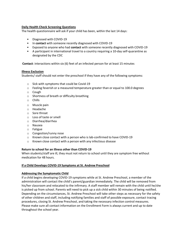## **Daily Health Check Screening Questions**

The health questionnaire will ask if your child has been, within the last 14 days:

- Diagnosed with COVID-19
- In **contact** with someone recently diagnosed with COVID-19
- Exposed to anyone who had **contact** with someone recently diagnosed with COVID-19
- A participant in international travel to a country requiring a 10-day self-quarantine as designated by the CDC

**Contact**: interactions within six (6) feet of an infected person for at least 15 minutes

## **Illness Exclusion**

Students/ staff should not enter the preschool if they have any of the following symptoms:

- o Sick with symptoms that could be Covid-19
- $\circ$  Feeling feverish or a measured temperature greater than or equal to 100.0 degrees
- o Cough
- o Shortness of breath or difficulty breathing
- o Chills
- o Muscle pain
- o Headache
- o Sore throat
- o Loss of taste or smell
- o Diarrhea/diarrhea
- o Nausea
- o Fatigue
- o Congestion/runny nose
- $\circ$  Known close contact with a person who is lab-confirmed to have COVID-19
- o Known close contact with a person with any infectious disease

## **Return to school for an illness other than COVID-19**

When students/staff are ill, they must not return to school until they are symptom free without medication for 48 hours.

## **If a Child Develops COVID-19 Symptoms at St. Andrew Preschool**

## **Addressing the Symptomatic Child**

If a child begins developing COVID-19 symptoms while at St. Andrew Preschool, a member of the administration will contact the child's parent/guardian immediately. The child will be removed from his/her classroom and relocated to the infirmary. A staff member will remain with the child until he/she is picked up from school. Parents will need to pick up a sick child within 30 minutes of being notified. Depending on the circumstances, St. Andrew Preschool will take other steps as necessary for the safety of other children and staff, including notifying families and staff of possible exposure, contact tracing procedures, closing St. Andrew Preschool, and taking the necessary infection control measures. Please make sure all contact information on the Enrollment Form is always current and up to date throughout the school year.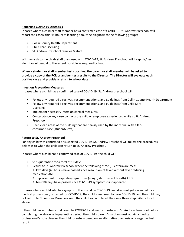## **Reporting COVID-19 Diagnosis**

In cases where a child or staff member has a confirmed case of COVID-19, St. Andrew Preschool will report the casewithin 48 hours of learning about the diagnosis to the following groups:

- Collin County Health Department
- Child Care Licensing
- St. Andrew Preschool families & staff

With regards to the child/ staff diagnosed with COVID-19, St. Andrew Preschool will keep his/her identityconfidential to the extent possible as required by law.

**When a student or staff member tests positive, the parent or staff member will be asked to provide a copy of the PCR or antigen test results to the Director. The Director will evaluate each positive case and provide a return to school date.**

## **Infection Prevention Measures**

In cases where a child has a confirmed case of COVID-19, St. Andrew preschool will:

- Follow any required directives, recommendations, and guidelines from Collin County Health Department
- Follow any required directives, recommendations, and guidelines from Child Care Licensing
- Implement necessary infection control measures
- Contact-trace any close contacts the child or employee experienced while at St. Andrew Preschool
- Deep clean areas of the building that are heavily used by the individual with a labconfirmed case (student/staff)

## **Return to St. Andrew Preschool**

For any child with confirmed or suspected COVID-19, St. Andrew Preschool will follow the procedures below as to when the child can return to St. Andrew Preschool.

In cases where a child has a confirmed case of COVID-19, the child will:

- Self-quarantine for a total of 10 days
- Return to St. Andrew Preschool when the following three (3) criteria are met: 1. Two days (48 hours) have passed since resolution of fever without fever reducing medication AND
	- 2. Improvement in respiratory symptoms (cough, shortness of breath) AND
	- 3. Ten (10) days have passed since COVID-19 symptoms first appeared

In cases where a child who has symptoms that could be COVID-19, and does not get evaluated by a medical professional, or tested for COVID-19, the child is assumed to have COVID-19, and the child may not return to St. Andrew Preschool until the child has completed the same three step criteria listed above.

If the child has symptoms that could be COVID-19 and wants to return to St. Andrew Preschool before completing the above self-quarantine period, the child's parent/guardian must obtain a medical professional's note clearing the child for return based on an alternative diagnosis or a negative test result.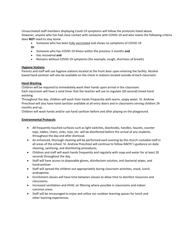Unvaccinated staff members displaying Covid-19 symptoms will follow the protocols listed above. However, anyone who has had close contact with someone with COVID-19 and who meets the following criteria does **NOT** need to stay home.

- Someone who has been [fully vaccinated](https://www.cdc.gov/coronavirus/2019-ncov/vaccines/fully-vaccinated.html) and shows no symptoms of COVID-19
- **Or**
- Someone who has COVID-19 illness within the previous 3 months **and**
- Has recovered **and**
- Remains without COVID-19 symptoms (for example, cough, shortness of breath)

## **Hygiene Stations**

Parents and staff will use hygiene stations located at the front door upon entering the facility. Alcohol based hand sanitizer will also be available on the check in stations located outside of each classroom.

## **Hand Washing**

Children will be required to immediately wash their hands upon arrival in the classroom. Each classroom will have a sand timer that the teacher will use to regulate (20 second) timed hand washing.

Throughout the day, children will wash their hands frequently with warm, soapy water. St. Andrew Preschool will also have hand sanitizer available at all entry doors and in classrooms serving children 24 months and up.

Children will wash hands and/or use hand sanitizer before and after playing on the playground.

## **Environmental Protocols**

- All frequently touched surfaces such as light switches, doorknobs, handles, faucets, counter tops, tables, chairs, sinks, toys, etc. will be disinfected before the arrival of any students, throughout the day and after dismissal.
- An enhanced, thorough cleaning will be performed each evening by the church custodial staff in all areas of the school. St. Andrew Preschool will continue to follow NAEYC's guidance on daily cleaning, sanitizing, and disinfecting procedures.
- Children and staff will wash hands frequently and regularly with soap and water for at least 20 seconds throughout the day.
- Staff will have access to disposable gloves, disinfectant solution, anti-bacterial wipes, and hand sanitizer
- Staff will spread the children out appropriately during classroom activities, snack, lunch, andnaptime.
- Enrichment classes will have time between classes to allow time to disinfect resources and classrooms.
- Increased ventilation and HVAC air filtering where possible in classrooms and indoor common areas.
- Staff will be encouraged to enjoy and utilize our outdoor learning spaces for lunch and other learning experiences.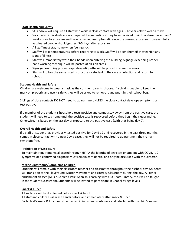## **Staff Health and Safety**

- St. Andrew will require all staff who work in close contact with ages 0-12 years old to wear a mask.
- Vaccinated individuals are not required to quarantine if they have received their final dose more than 2 weeks prior to exposure and have remained asymptomatic since the current exposure. However, fully vaccinated people should get test 3-5 days after exposure.
- All staff must stay home when feeling sick.
- Staff will take temperatures before reporting to work. Staff will be sent homeif they exhibit any signs of illness.
- Staff will immediately wash their hands upon entering the building. Signage describing proper hand washing technique will be posted at all sink areas.
- Signage describing proper respiratory etiquette will be posted in common areas.
- Staff will follow the same listed protocol as a student in the case of infection and return to school.

## **Student Health and Safety**

Children are welcome to wear a mask as they or their parents choose. If a child is unable to keep the mask on properly and use it safely, they will be asked to remove it and put it in their school bag.

Siblings of close contacts DO NOT need to quarantine UNLESS the close contact develops symptoms or test positive.

If a member of the student's household tests positive and cannot stay away from the positive case, the student will need to say home until the positive case is recovered before they begin their quarantine. Otherwise, it's based on the last day of exposure to the positive case (with that being day 0).

## **Overall Health and Safety**

If a staff or student has previously tested positive for Covid 19 and recovered in the past three months, comes in close contact with a new Covid case, they will not be required to quarantine if they remain symptom free.

## **Prohibition of Disclosure**

To maintain requirements allocated through HIPPA the identity of any staff or student with COVID -19 symptoms or a confirmed diagnosis must remain confidential and only be discussed with the Director.

## **Mixing Classrooms/Combining Children**

Students will remain with their classroom teacher and classmates throughout their school day. Students will transition to the Playground, Motor Movement and Literacy Classroom during the day. All other enrichment classes (Music, Sacred Circle, Spanish, Learning with Out Tears, Library, etc.) will be taught in the student's classroom. Students will be invited to participate in Chapel by age levels.

## **Snack & Lunch**

All surfaces will be disinfected before snack & lunch. All staff and children will wash hands before and immediately after snack & lunch. Each child's snack & lunch must be packed in individual containers and labelled with the child's name.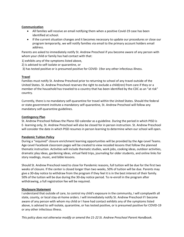## **Communication**

- All families will receive an email notifying them when a positive Covid-19 case has been identified at school.
- If the current situation changes and it becomes necessary to update our procedures or close our program temporarily, we will notify families via email to the primary account holders email address.

Parents are asked to immediately notify St. Andrew Preschool if you become aware of any person with whom your child or family has had contact with that:

1) exhibits any of the symptoms listed above,

2) is advised to self-isolate or quarantine, or

3) has tested positive or is presumed positive for COVID- 19or any other infectious illness.

## **Travel**

Families must notify St. Andrew Preschool prior to returning to school of any travel outside of the United States. St. Andrew Preschool reserves the right to exclude a child(ren) from care if they or a member of the household has traveled to a country that has been identified by the CDC as an "at risk" country.

Currently, there is no mandatory self-quarantine for travel within the United States. Should the federal or state government institute a mandatory self-quarantine, St. Andrew Preschool will follow any mandatory self-quarantine guidelines.

## **Contingency Plan**

St. Andrew Preschool follows the Plano ISD calendar as a guideline. During the period in which PISD is E- learning only, St. Andrew Preschool will also be closed for in person instruction. St. Andrew Preschool will consider the date in which PISD resumes in person learning to determine when our school will open.

## **Pandemic Tuition Policy**

During a "required" closure enrichment learning opportunities will be provided by the Age-Level Teams. Age-Level Facebook classroom pages will be created to view recoded lessons that follow the planned thematic instruction. Activities will include thematic studies, work jobs, cooking ideas, outdoor activities, dramatic play ideas, gardening ideas, virtual field trips, journaling for older students, and online links for story readings, music, and bible lessons.

Should St. Andrew Preschool need to close for Pandemic reasons, full tuition will be due for the first two weeks of closure. If the center is closed longer than two weeks, 50% of tuition will be due. Parents may give a 30-day notice to withdraw from the program if they feel it is in the best interest of their family. 50% of the tuition will be due during the 30-day notice period. To re-enroll in the program after withdrawing, a full registration fee will be required.

## **Disclosure Statement**

I understand that outside of care, to control my child's exposure in the community, I will complywith all state, county, or local stay-at-home orders. I will immediately notify St. Andrew Preschool if I become aware of any person with whom my child or I have had contact exhibits any of the symptoms listed above, is advised to self-isolate, quarantine, or has tested positive, or is presumed positive for COVID-19 or any other infectious illness.

*This policy does not otherwise modify or amend the 21-22 St. Andrew Preschool Parent Handbook.*